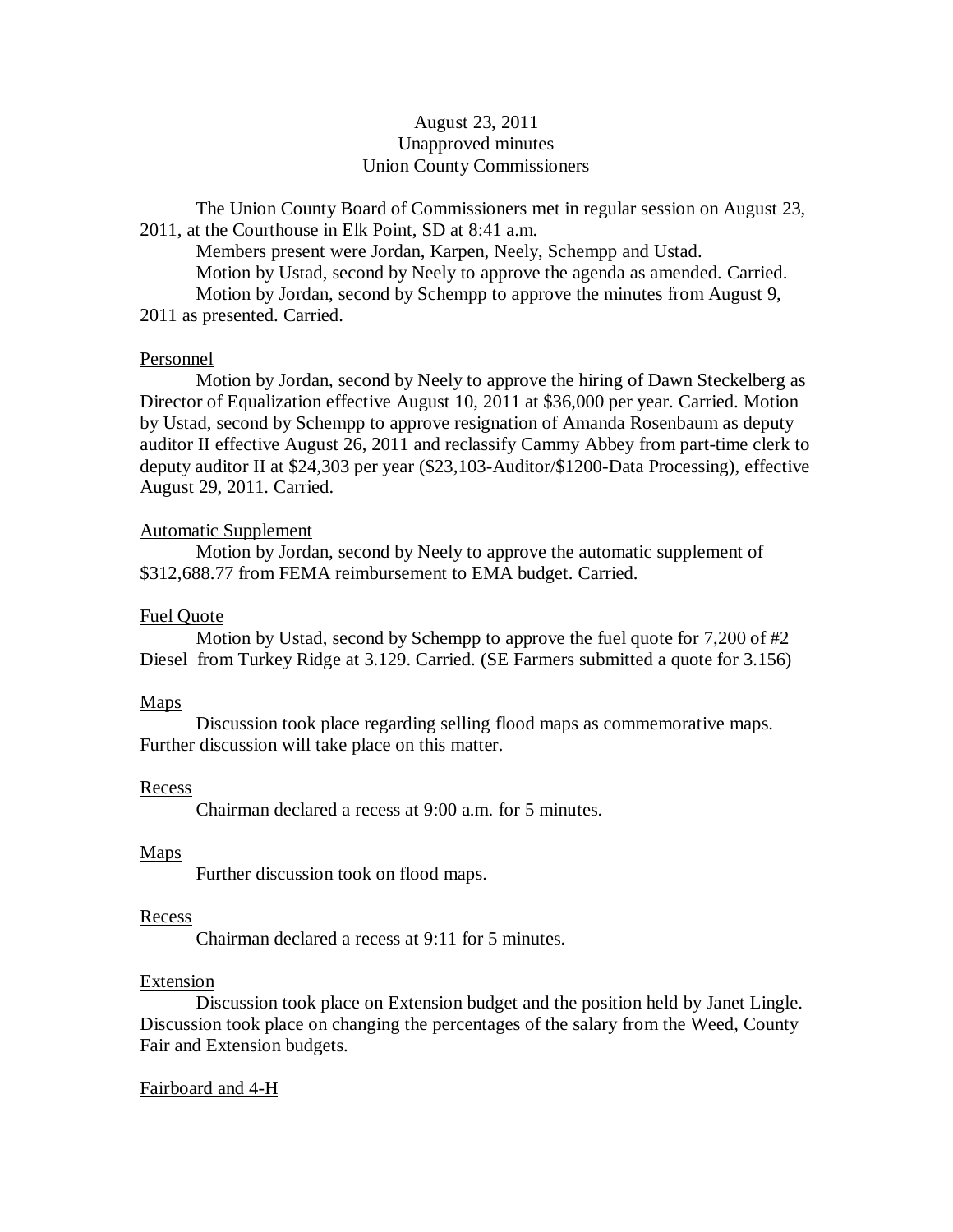# August 23, 2011 Unapproved minutes Union County Commissioners

The Union County Board of Commissioners met in regular session on August 23, 2011, at the Courthouse in Elk Point, SD at 8:41 a.m.

Members present were Jordan, Karpen, Neely, Schempp and Ustad. Motion by Ustad, second by Neely to approve the agenda as amended. Carried. Motion by Jordan, second by Schempp to approve the minutes from August 9, 2011 as presented. Carried.

### Personnel

Motion by Jordan, second by Neely to approve the hiring of Dawn Steckelberg as Director of Equalization effective August 10, 2011 at \$36,000 per year. Carried. Motion by Ustad, second by Schempp to approve resignation of Amanda Rosenbaum as deputy auditor II effective August 26, 2011 and reclassify Cammy Abbey from part-time clerk to deputy auditor II at \$24,303 per year (\$23,103-Auditor/\$1200-Data Processing), effective August 29, 2011. Carried.

# Automatic Supplement

Motion by Jordan, second by Neely to approve the automatic supplement of \$312,688.77 from FEMA reimbursement to EMA budget. Carried.

# Fuel Quote

Motion by Ustad, second by Schempp to approve the fuel quote for  $7,200$  of  $\#2$ Diesel from Turkey Ridge at 3.129. Carried. (SE Farmers submitted a quote for 3.156)

# **Maps**

Discussion took place regarding selling flood maps as commemorative maps. Further discussion will take place on this matter.

### Recess

Chairman declared a recess at 9:00 a.m. for 5 minutes.

# Maps

Further discussion took on flood maps.

### Recess

Chairman declared a recess at 9:11 for 5 minutes.

### Extension

Discussion took place on Extension budget and the position held by Janet Lingle. Discussion took place on changing the percentages of the salary from the Weed, County Fair and Extension budgets.

# Fairboard and 4-H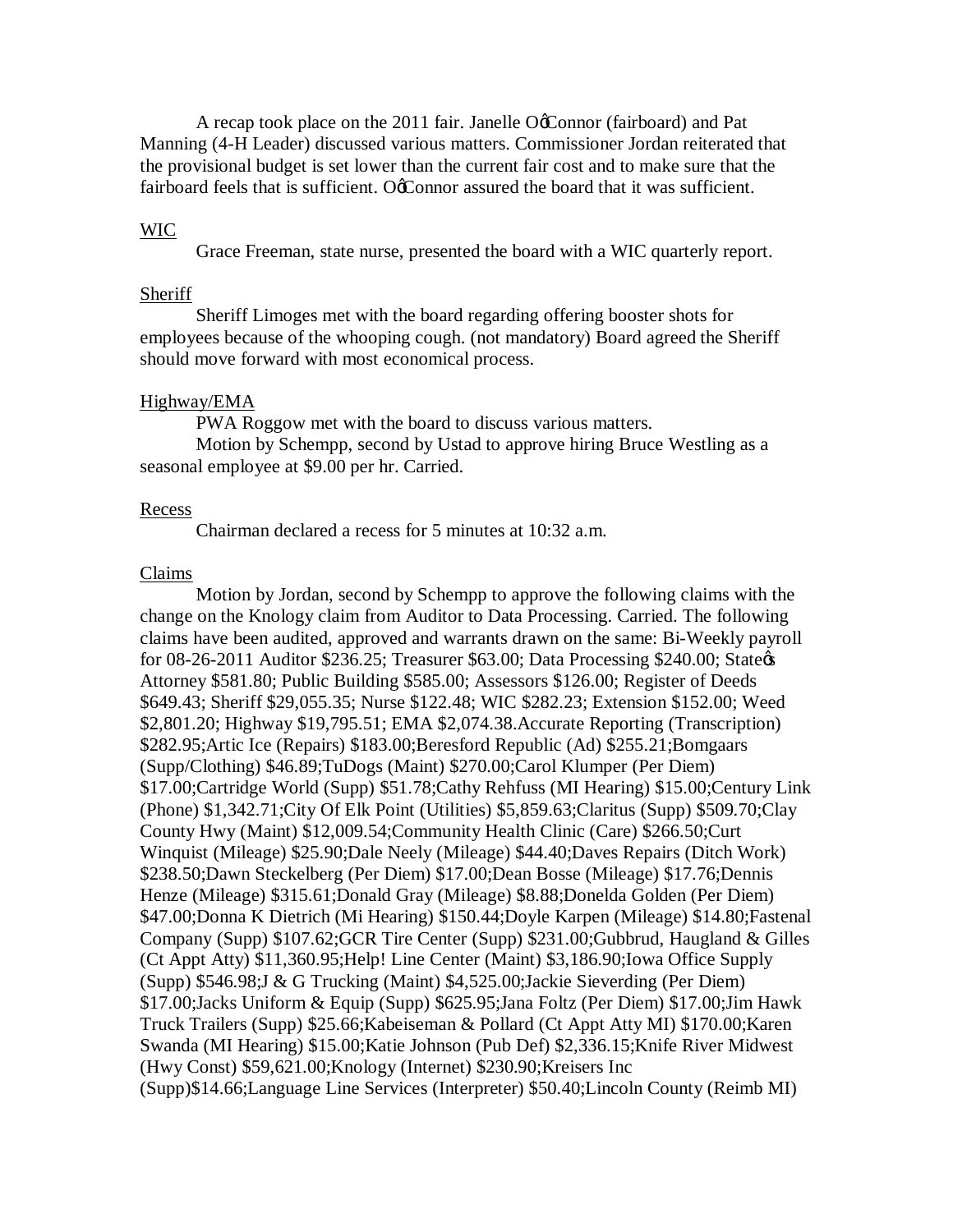A recap took place on the 2011 fair. Janelle O'Connor (fairboard) and Pat Manning (4-H Leader) discussed various matters. Commissioner Jordan reiterated that the provisional budget is set lower than the current fair cost and to make sure that the fairboard feels that is sufficient. OcConnor assured the board that it was sufficient.

### WIC

Grace Freeman, state nurse, presented the board with a WIC quarterly report.

#### Sheriff

Sheriff Limoges met with the board regarding offering booster shots for employees because of the whooping cough. (not mandatory) Board agreed the Sheriff should move forward with most economical process.

#### Highway/EMA

PWA Roggow met with the board to discuss various matters.

Motion by Schempp, second by Ustad to approve hiring Bruce Westling as a seasonal employee at \$9.00 per hr. Carried.

#### Recess

Chairman declared a recess for 5 minutes at 10:32 a.m.

### Claims

Motion by Jordan, second by Schempp to approve the following claims with the change on the Knology claim from Auditor to Data Processing. Carried. The following claims have been audited, approved and warrants drawn on the same: Bi-Weekly payroll for 08-26-2011 Auditor \$236.25; Treasurer \$63.00; Data Processing \$240.00; State& Attorney \$581.80; Public Building \$585.00; Assessors \$126.00; Register of Deeds \$649.43; Sheriff \$29,055.35; Nurse \$122.48; WIC \$282.23; Extension \$152.00; Weed \$2,801.20; Highway \$19,795.51; EMA \$2,074.38.Accurate Reporting (Transcription) \$282.95;Artic Ice (Repairs) \$183.00;Beresford Republic (Ad) \$255.21;Bomgaars (Supp/Clothing) \$46.89;TuDogs (Maint) \$270.00;Carol Klumper (Per Diem) \$17.00;Cartridge World (Supp) \$51.78;Cathy Rehfuss (MI Hearing) \$15.00;Century Link (Phone) \$1,342.71;City Of Elk Point (Utilities) \$5,859.63;Claritus (Supp) \$509.70;Clay County Hwy (Maint) \$12,009.54;Community Health Clinic (Care) \$266.50;Curt Winquist (Mileage) \$25.90;Dale Neely (Mileage) \$44.40;Daves Repairs (Ditch Work) \$238.50;Dawn Steckelberg (Per Diem) \$17.00;Dean Bosse (Mileage) \$17.76;Dennis Henze (Mileage) \$315.61;Donald Gray (Mileage) \$8.88;Donelda Golden (Per Diem) \$47.00;Donna K Dietrich (Mi Hearing) \$150.44;Doyle Karpen (Mileage) \$14.80;Fastenal Company (Supp) \$107.62;GCR Tire Center (Supp) \$231.00;Gubbrud, Haugland & Gilles (Ct Appt Atty) \$11,360.95;Help! Line Center (Maint) \$3,186.90;Iowa Office Supply (Supp) \$546.98;J & G Trucking (Maint) \$4,525.00;Jackie Sieverding (Per Diem) \$17.00;Jacks Uniform & Equip (Supp) \$625.95;Jana Foltz (Per Diem) \$17.00;Jim Hawk Truck Trailers (Supp) \$25.66;Kabeiseman & Pollard (Ct Appt Atty MI) \$170.00;Karen Swanda (MI Hearing) \$15.00;Katie Johnson (Pub Def) \$2,336.15;Knife River Midwest (Hwy Const) \$59,621.00;Knology (Internet) \$230.90;Kreisers Inc (Supp)\$14.66;Language Line Services (Interpreter) \$50.40;Lincoln County (Reimb MI)